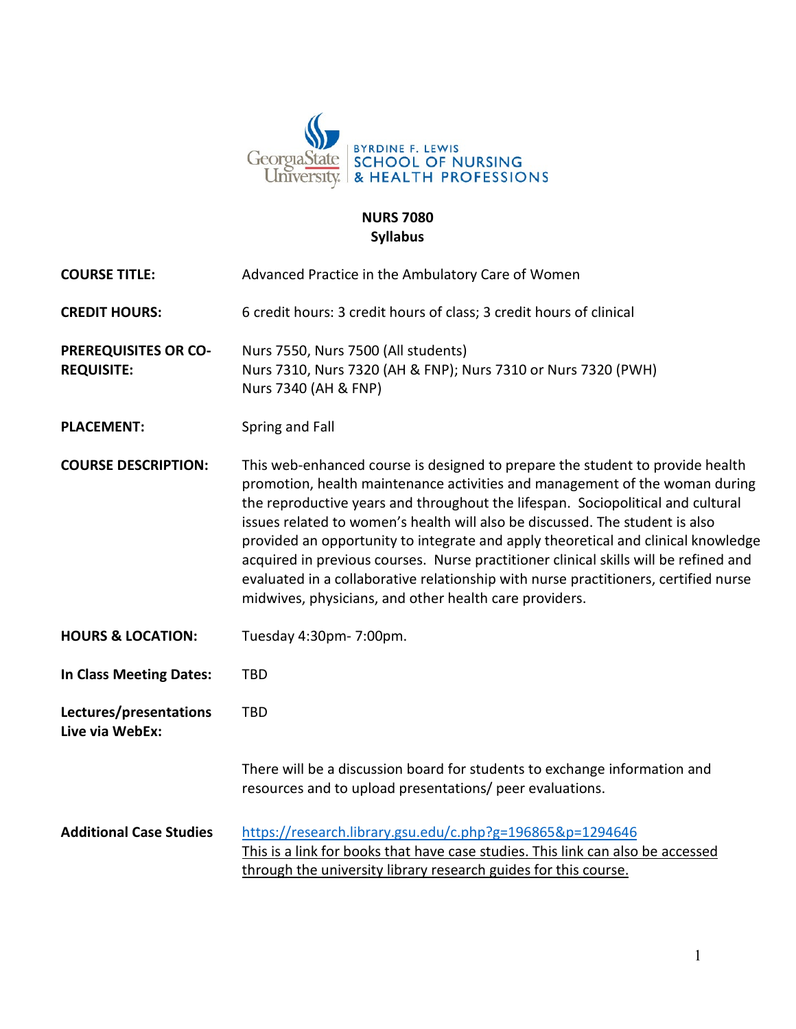

## **NURS 7080 Syllabus**

| <b>COURSE TITLE:</b>                             | Advanced Practice in the Ambulatory Care of Women                                                                                                                                                                                                                                                                                                                                                                                                                                                                                                                                                                                                             |
|--------------------------------------------------|---------------------------------------------------------------------------------------------------------------------------------------------------------------------------------------------------------------------------------------------------------------------------------------------------------------------------------------------------------------------------------------------------------------------------------------------------------------------------------------------------------------------------------------------------------------------------------------------------------------------------------------------------------------|
| <b>CREDIT HOURS:</b>                             | 6 credit hours: 3 credit hours of class; 3 credit hours of clinical                                                                                                                                                                                                                                                                                                                                                                                                                                                                                                                                                                                           |
| <b>PREREQUISITES OR CO-</b><br><b>REQUISITE:</b> | Nurs 7550, Nurs 7500 (All students)<br>Nurs 7310, Nurs 7320 (AH & FNP); Nurs 7310 or Nurs 7320 (PWH)<br>Nurs 7340 (AH & FNP)                                                                                                                                                                                                                                                                                                                                                                                                                                                                                                                                  |
| <b>PLACEMENT:</b>                                | Spring and Fall                                                                                                                                                                                                                                                                                                                                                                                                                                                                                                                                                                                                                                               |
| <b>COURSE DESCRIPTION:</b>                       | This web-enhanced course is designed to prepare the student to provide health<br>promotion, health maintenance activities and management of the woman during<br>the reproductive years and throughout the lifespan. Sociopolitical and cultural<br>issues related to women's health will also be discussed. The student is also<br>provided an opportunity to integrate and apply theoretical and clinical knowledge<br>acquired in previous courses. Nurse practitioner clinical skills will be refined and<br>evaluated in a collaborative relationship with nurse practitioners, certified nurse<br>midwives, physicians, and other health care providers. |
| <b>HOURS &amp; LOCATION:</b>                     | Tuesday 4:30pm- 7:00pm.                                                                                                                                                                                                                                                                                                                                                                                                                                                                                                                                                                                                                                       |
| <b>In Class Meeting Dates:</b>                   | <b>TBD</b>                                                                                                                                                                                                                                                                                                                                                                                                                                                                                                                                                                                                                                                    |
| Lectures/presentations<br>Live via WebEx:        | <b>TBD</b>                                                                                                                                                                                                                                                                                                                                                                                                                                                                                                                                                                                                                                                    |
|                                                  | There will be a discussion board for students to exchange information and<br>resources and to upload presentations/ peer evaluations.                                                                                                                                                                                                                                                                                                                                                                                                                                                                                                                         |
| <b>Additional Case Studies</b>                   | https://research.library.gsu.edu/c.php?g=196865&p=1294646<br>This is a link for books that have case studies. This link can also be accessed<br>through the university library research guides for this course.                                                                                                                                                                                                                                                                                                                                                                                                                                               |